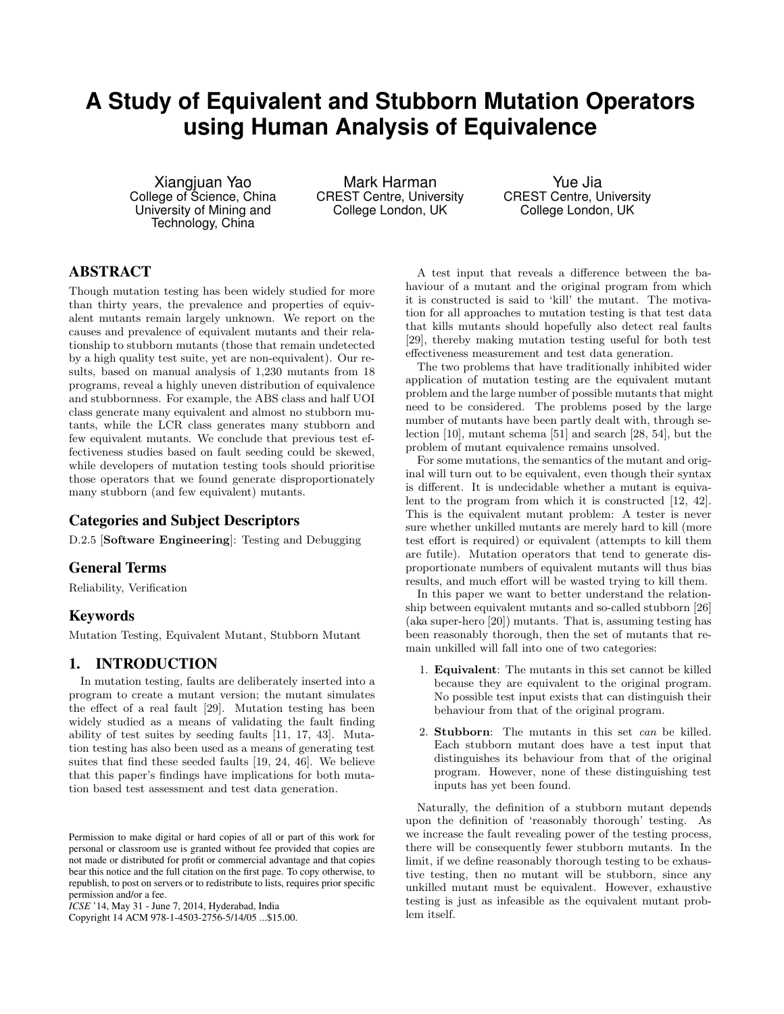# **A Study of Equivalent and Stubborn Mutation Operators using Human Analysis of Equivalence**

Xiangjuan Yao College of Science, China University of Mining and Technology, China

Mark Harman CREST Centre, University College London, UK

Yue Jia CREST Centre, University College London, UK

# ABSTRACT

Though mutation testing has been widely studied for more than thirty years, the prevalence and properties of equivalent mutants remain largely unknown. We report on the causes and prevalence of equivalent mutants and their relationship to stubborn mutants (those that remain undetected by a high quality test suite, yet are non-equivalent). Our results, based on manual analysis of 1,230 mutants from 18 programs, reveal a highly uneven distribution of equivalence and stubbornness. For example, the ABS class and half UOI class generate many equivalent and almost no stubborn mutants, while the LCR class generates many stubborn and few equivalent mutants. We conclude that previous test effectiveness studies based on fault seeding could be skewed, while developers of mutation testing tools should prioritise those operators that we found generate disproportionately many stubborn (and few equivalent) mutants.

# Categories and Subject Descriptors

D.2.5 [Software Engineering]: Testing and Debugging

# General Terms

Reliability, Verification

### Keywords

Mutation Testing, Equivalent Mutant, Stubborn Mutant

# 1. INTRODUCTION

In mutation testing, faults are deliberately inserted into a program to create a mutant version; the mutant simulates the effect of a real fault [29]. Mutation testing has been widely studied as a means of validating the fault finding ability of test suites by seeding faults [11, 17, 43]. Mutation testing has also been used as a means of generating test suites that find these seeded faults [19, 24, 46]. We believe that this paper's findings have implications for both mutation based test assessment and test data generation.

Copyright 14 ACM 978-1-4503-2756-5/14/05 ...\$15.00.

A test input that reveals a difference between the bahaviour of a mutant and the original program from which it is constructed is said to 'kill' the mutant. The motivation for all approaches to mutation testing is that test data that kills mutants should hopefully also detect real faults [29], thereby making mutation testing useful for both test effectiveness measurement and test data generation.

The two problems that have traditionally inhibited wider application of mutation testing are the equivalent mutant problem and the large number of possible mutants that might need to be considered. The problems posed by the large number of mutants have been partly dealt with, through selection [10], mutant schema [51] and search [28, 54], but the problem of mutant equivalence remains unsolved.

For some mutations, the semantics of the mutant and original will turn out to be equivalent, even though their syntax is different. It is undecidable whether a mutant is equivalent to the program from which it is constructed [12, 42]. This is the equivalent mutant problem: A tester is never sure whether unkilled mutants are merely hard to kill (more test effort is required) or equivalent (attempts to kill them are futile). Mutation operators that tend to generate disproportionate numbers of equivalent mutants will thus bias results, and much effort will be wasted trying to kill them.

In this paper we want to better understand the relationship between equivalent mutants and so-called stubborn [26] (aka super-hero [20]) mutants. That is, assuming testing has been reasonably thorough, then the set of mutants that remain unkilled will fall into one of two categories:

- 1. Equivalent: The mutants in this set cannot be killed because they are equivalent to the original program. No possible test input exists that can distinguish their behaviour from that of the original program.
- 2. Stubborn: The mutants in this set can be killed. Each stubborn mutant does have a test input that distinguishes its behaviour from that of the original program. However, none of these distinguishing test inputs has yet been found.

Naturally, the definition of a stubborn mutant depends upon the definition of 'reasonably thorough' testing. As we increase the fault revealing power of the testing process, there will be consequently fewer stubborn mutants. In the limit, if we define reasonably thorough testing to be exhaustive testing, then no mutant will be stubborn, since any unkilled mutant must be equivalent. However, exhaustive testing is just as infeasible as the equivalent mutant problem itself.

Permission to make digital or hard copies of all or part of this work for personal or classroom use is granted without fee provided that copies are not made or distributed for profit or commercial advantage and that copies bear this notice and the full citation on the first page. To copy otherwise, to republish, to post on servers or to redistribute to lists, requires prior specific permission and/or a fee.

*ICSE* '14, May 31 - June 7, 2014, Hyderabad, India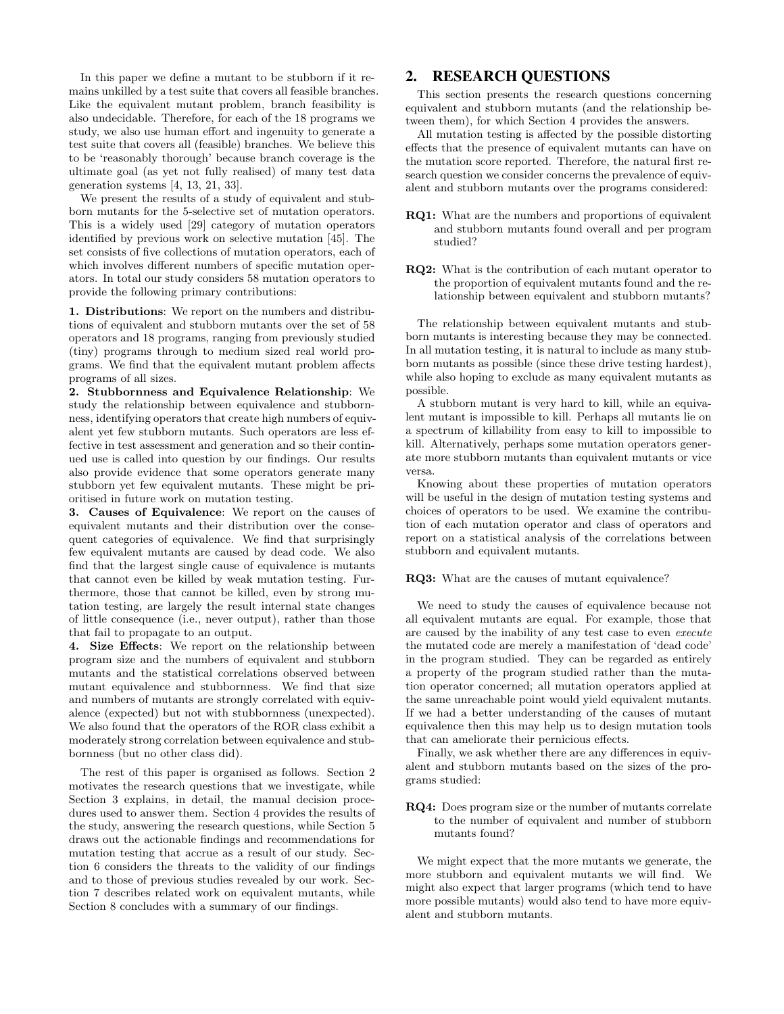In this paper we define a mutant to be stubborn if it remains unkilled by a test suite that covers all feasible branches. Like the equivalent mutant problem, branch feasibility is also undecidable. Therefore, for each of the 18 programs we study, we also use human effort and ingenuity to generate a test suite that covers all (feasible) branches. We believe this to be 'reasonably thorough' because branch coverage is the ultimate goal (as yet not fully realised) of many test data generation systems [4, 13, 21, 33].

We present the results of a study of equivalent and stubborn mutants for the 5-selective set of mutation operators. This is a widely used [29] category of mutation operators identified by previous work on selective mutation [45]. The set consists of five collections of mutation operators, each of which involves different numbers of specific mutation operators. In total our study considers 58 mutation operators to provide the following primary contributions:

1. Distributions: We report on the numbers and distributions of equivalent and stubborn mutants over the set of 58 operators and 18 programs, ranging from previously studied (tiny) programs through to medium sized real world programs. We find that the equivalent mutant problem affects programs of all sizes.

2. Stubbornness and Equivalence Relationship: We study the relationship between equivalence and stubbornness, identifying operators that create high numbers of equivalent yet few stubborn mutants. Such operators are less effective in test assessment and generation and so their continued use is called into question by our findings. Our results also provide evidence that some operators generate many stubborn yet few equivalent mutants. These might be prioritised in future work on mutation testing.

3. Causes of Equivalence: We report on the causes of equivalent mutants and their distribution over the consequent categories of equivalence. We find that surprisingly few equivalent mutants are caused by dead code. We also find that the largest single cause of equivalence is mutants that cannot even be killed by weak mutation testing. Furthermore, those that cannot be killed, even by strong mutation testing, are largely the result internal state changes of little consequence (i.e., never output), rather than those that fail to propagate to an output.

4. Size Effects: We report on the relationship between program size and the numbers of equivalent and stubborn mutants and the statistical correlations observed between mutant equivalence and stubbornness. We find that size and numbers of mutants are strongly correlated with equivalence (expected) but not with stubbornness (unexpected). We also found that the operators of the ROR class exhibit a moderately strong correlation between equivalence and stubbornness (but no other class did).

The rest of this paper is organised as follows. Section 2 motivates the research questions that we investigate, while Section 3 explains, in detail, the manual decision procedures used to answer them. Section 4 provides the results of the study, answering the research questions, while Section 5 draws out the actionable findings and recommendations for mutation testing that accrue as a result of our study. Section 6 considers the threats to the validity of our findings and to those of previous studies revealed by our work. Section 7 describes related work on equivalent mutants, while Section 8 concludes with a summary of our findings.

# 2. RESEARCH QUESTIONS

This section presents the research questions concerning equivalent and stubborn mutants (and the relationship between them), for which Section 4 provides the answers.

All mutation testing is affected by the possible distorting effects that the presence of equivalent mutants can have on the mutation score reported. Therefore, the natural first research question we consider concerns the prevalence of equivalent and stubborn mutants over the programs considered:

- RQ1: What are the numbers and proportions of equivalent and stubborn mutants found overall and per program studied?
- RQ2: What is the contribution of each mutant operator to the proportion of equivalent mutants found and the relationship between equivalent and stubborn mutants?

The relationship between equivalent mutants and stubborn mutants is interesting because they may be connected. In all mutation testing, it is natural to include as many stubborn mutants as possible (since these drive testing hardest), while also hoping to exclude as many equivalent mutants as possible.

A stubborn mutant is very hard to kill, while an equivalent mutant is impossible to kill. Perhaps all mutants lie on a spectrum of killability from easy to kill to impossible to kill. Alternatively, perhaps some mutation operators generate more stubborn mutants than equivalent mutants or vice versa.

Knowing about these properties of mutation operators will be useful in the design of mutation testing systems and choices of operators to be used. We examine the contribution of each mutation operator and class of operators and report on a statistical analysis of the correlations between stubborn and equivalent mutants.

#### RQ3: What are the causes of mutant equivalence?

We need to study the causes of equivalence because not all equivalent mutants are equal. For example, those that are caused by the inability of any test case to even execute the mutated code are merely a manifestation of 'dead code' in the program studied. They can be regarded as entirely a property of the program studied rather than the mutation operator concerned; all mutation operators applied at the same unreachable point would yield equivalent mutants. If we had a better understanding of the causes of mutant equivalence then this may help us to design mutation tools that can ameliorate their pernicious effects.

Finally, we ask whether there are any differences in equivalent and stubborn mutants based on the sizes of the programs studied:

RQ4: Does program size or the number of mutants correlate to the number of equivalent and number of stubborn mutants found?

We might expect that the more mutants we generate, the more stubborn and equivalent mutants we will find. We might also expect that larger programs (which tend to have more possible mutants) would also tend to have more equivalent and stubborn mutants.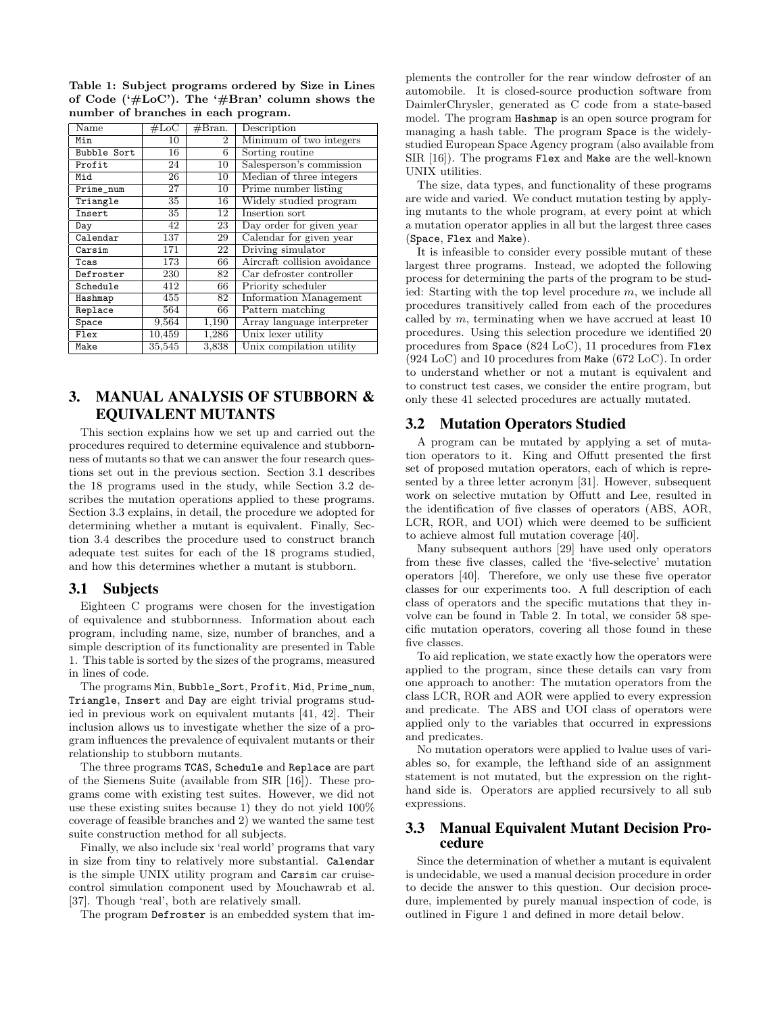Table 1: Subject programs ordered by Size in Lines of Code ('#LoC'). The '#Bran' column shows the number of branches in each program.

| Name        | #LoC   | #Bran. | Description                   |
|-------------|--------|--------|-------------------------------|
| Min         | 10     | 2      | Minimum of two integers       |
| Bubble Sort | 16     | 6      | Sorting routine               |
| Profit      | 24     | 10     | Salesperson's commission      |
| Mid         | 26     | 10     | Median of three integers      |
| Prime_num   | 27     | 10     | Prime number listing          |
| Triangle    | 35     | 16     | Widely studied program        |
| Insert      | 35     | 12     | Insertion sort                |
| Day         | 42     | 23     | Day order for given year      |
| Calendar    | 137    | 29     | Calendar for given year       |
| Carsim      | 171    | 22     | Driving simulator             |
| Tcas        | 173    | 66     | Aircraft collision avoidance  |
| Defroster   | 230    | 82     | Car defroster controller      |
| Schedule    | 412    | 66     | Priority scheduler            |
| Hashmap     | 455    | 82     | <b>Information Management</b> |
| Replace     | 564    | 66     | Pattern matching              |
| Space       | 9,564  | 1,190  | Array language interpreter    |
| Flex        | 10,459 | 1,286  | Unix lexer utility            |
| Make        | 35,545 | 3,838  | Unix compilation utility      |

# 3. MANUAL ANALYSIS OF STUBBORN & EQUIVALENT MUTANTS

This section explains how we set up and carried out the procedures required to determine equivalence and stubbornness of mutants so that we can answer the four research questions set out in the previous section. Section 3.1 describes the 18 programs used in the study, while Section 3.2 describes the mutation operations applied to these programs. Section 3.3 explains, in detail, the procedure we adopted for determining whether a mutant is equivalent. Finally, Section 3.4 describes the procedure used to construct branch adequate test suites for each of the 18 programs studied, and how this determines whether a mutant is stubborn.

### 3.1 Subjects

Eighteen C programs were chosen for the investigation of equivalence and stubbornness. Information about each program, including name, size, number of branches, and a simple description of its functionality are presented in Table 1. This table is sorted by the sizes of the programs, measured in lines of code.

The programs Min, Bubble\_Sort, Profit, Mid, Prime\_num, Triangle, Insert and Day are eight trivial programs studied in previous work on equivalent mutants [41, 42]. Their inclusion allows us to investigate whether the size of a program influences the prevalence of equivalent mutants or their relationship to stubborn mutants.

The three programs TCAS, Schedule and Replace are part of the Siemens Suite (available from SIR [16]). These programs come with existing test suites. However, we did not use these existing suites because 1) they do not yield 100% coverage of feasible branches and 2) we wanted the same test suite construction method for all subjects.

Finally, we also include six 'real world' programs that vary in size from tiny to relatively more substantial. Calendar is the simple UNIX utility program and Carsim car cruisecontrol simulation component used by Mouchawrab et al. [37]. Though 'real', both are relatively small.

The program Defroster is an embedded system that im-

plements the controller for the rear window defroster of an automobile. It is closed-source production software from DaimlerChrysler, generated as C code from a state-based model. The program Hashmap is an open source program for managing a hash table. The program Space is the widelystudied European Space Agency program (also available from SIR [16]). The programs Flex and Make are the well-known UNIX utilities.

The size, data types, and functionality of these programs are wide and varied. We conduct mutation testing by applying mutants to the whole program, at every point at which a mutation operator applies in all but the largest three cases (Space, Flex and Make).

It is infeasible to consider every possible mutant of these largest three programs. Instead, we adopted the following process for determining the parts of the program to be studied: Starting with the top level procedure m, we include all procedures transitively called from each of the procedures called by  $m$ , terminating when we have accrued at least 10 procedures. Using this selection procedure we identified 20 procedures from Space (824 LoC), 11 procedures from Flex (924 LoC) and 10 procedures from Make (672 LoC). In order to understand whether or not a mutant is equivalent and to construct test cases, we consider the entire program, but only these 41 selected procedures are actually mutated.

### 3.2 Mutation Operators Studied

A program can be mutated by applying a set of mutation operators to it. King and Offutt presented the first set of proposed mutation operators, each of which is represented by a three letter acronym [31]. However, subsequent work on selective mutation by Offutt and Lee, resulted in the identification of five classes of operators (ABS, AOR, LCR, ROR, and UOI) which were deemed to be sufficient to achieve almost full mutation coverage [40].

Many subsequent authors [29] have used only operators from these five classes, called the 'five-selective' mutation operators [40]. Therefore, we only use these five operator classes for our experiments too. A full description of each class of operators and the specific mutations that they involve can be found in Table 2. In total, we consider 58 specific mutation operators, covering all those found in these five classes.

To aid replication, we state exactly how the operators were applied to the program, since these details can vary from one approach to another: The mutation operators from the class LCR, ROR and AOR were applied to every expression and predicate. The ABS and UOI class of operators were applied only to the variables that occurred in expressions and predicates.

No mutation operators were applied to lvalue uses of variables so, for example, the lefthand side of an assignment statement is not mutated, but the expression on the righthand side is. Operators are applied recursively to all sub expressions.

### 3.3 Manual Equivalent Mutant Decision Procedure

Since the determination of whether a mutant is equivalent is undecidable, we used a manual decision procedure in order to decide the answer to this question. Our decision procedure, implemented by purely manual inspection of code, is outlined in Figure 1 and defined in more detail below.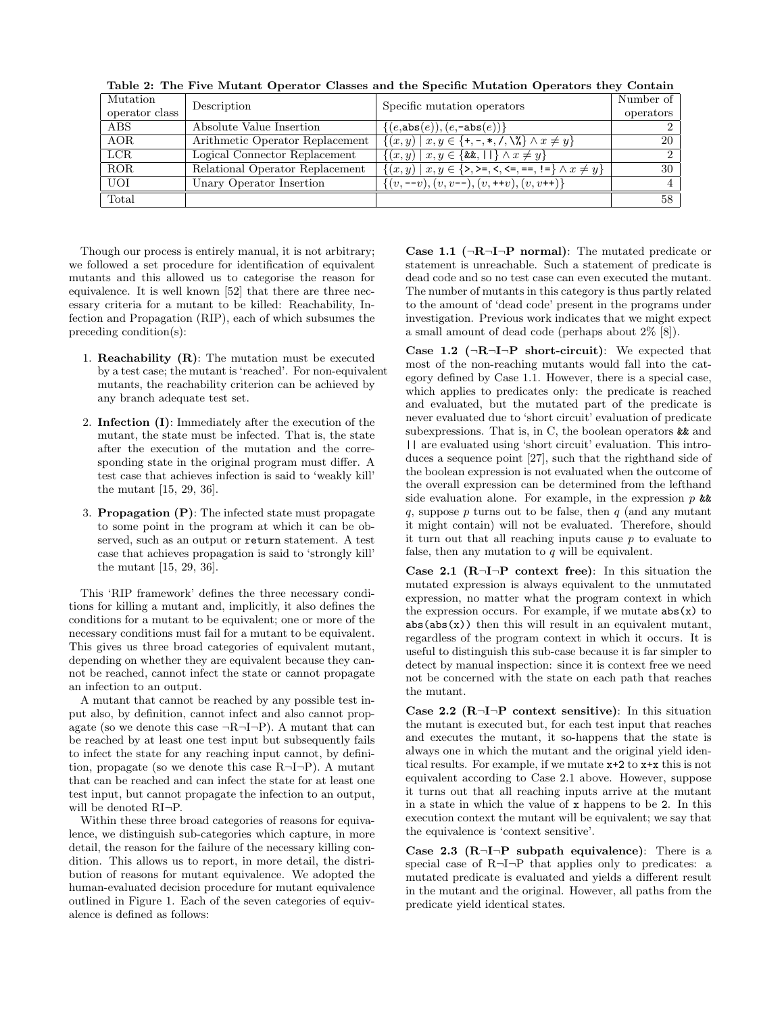| Mutation       | Description                     | Specific mutation operators                                                  | Number of      |
|----------------|---------------------------------|------------------------------------------------------------------------------|----------------|
| operator class |                                 |                                                                              | operators      |
| <b>ABS</b>     | Absolute Value Insertion        | $\{(e, \texttt{abs}(e)), (e, \texttt{-abs}(e))\}$                            |                |
| AOR.           | Arithmetic Operator Replacement | $\{(x,y) \mid x,y \in \{+, -, *, /, \{\}\}\land x \neq y\}$                  | 20             |
| <b>LCR</b>     | Logical Connector Replacement   | $\{(x,y) \mid x,y \in \{\&\&\}, \perp\} \wedge x \neq y\}$                   | $2^{\circ}$    |
| <b>ROR</b>     | Relational Operator Replacement | $\{(x,y) \mid x,y \in \{\geq, \geq, \leq, \leq, ==, \leq\} \land x \neq y\}$ | 30             |
| <b>UOI</b>     | Unary Operator Insertion        | $\{(v, -v), (v, v--), (v, +v), (v, v++)\}$                                   | $\overline{4}$ |
| Total          |                                 |                                                                              | 58             |

Table 2: The Five Mutant Operator Classes and the Specific Mutation Operators they Contain

Though our process is entirely manual, it is not arbitrary; we followed a set procedure for identification of equivalent mutants and this allowed us to categorise the reason for equivalence. It is well known [52] that there are three necessary criteria for a mutant to be killed: Reachability, Infection and Propagation (RIP), each of which subsumes the preceding condition(s):

- 1. **Reachability**  $(R)$ : The mutation must be executed by a test case; the mutant is 'reached'. For non-equivalent mutants, the reachability criterion can be achieved by any branch adequate test set.
- 2. Infection (I): Immediately after the execution of the mutant, the state must be infected. That is, the state after the execution of the mutation and the corresponding state in the original program must differ. A test case that achieves infection is said to 'weakly kill' the mutant [15, 29, 36].
- 3. Propagation (P): The infected state must propagate to some point in the program at which it can be observed, such as an output or return statement. A test case that achieves propagation is said to 'strongly kill' the mutant [15, 29, 36].

This 'RIP framework' defines the three necessary conditions for killing a mutant and, implicitly, it also defines the conditions for a mutant to be equivalent; one or more of the necessary conditions must fail for a mutant to be equivalent. This gives us three broad categories of equivalent mutant, depending on whether they are equivalent because they cannot be reached, cannot infect the state or cannot propagate an infection to an output.

A mutant that cannot be reached by any possible test input also, by definition, cannot infect and also cannot propagate (so we denote this case  $\neg R\neg I\neg P$ ). A mutant that can be reached by at least one test input but subsequently fails to infect the state for any reaching input cannot, by definition, propagate (so we denote this case  $R\neg I\neg P$ ). A mutant that can be reached and can infect the state for at least one test input, but cannot propagate the infection to an output, will be denoted RI¬P.

Within these three broad categories of reasons for equivalence, we distinguish sub-categories which capture, in more detail, the reason for the failure of the necessary killing condition. This allows us to report, in more detail, the distribution of reasons for mutant equivalence. We adopted the human-evaluated decision procedure for mutant equivalence outlined in Figure 1. Each of the seven categories of equivalence is defined as follows:

Case 1.1 ( $\neg R\neg I\neg P$  normal): The mutated predicate or statement is unreachable. Such a statement of predicate is dead code and so no test case can even executed the mutant. The number of mutants in this category is thus partly related to the amount of 'dead code' present in the programs under investigation. Previous work indicates that we might expect a small amount of dead code (perhaps about 2% [8]).

Case 1.2  $(\neg R\neg I\neg P)$  short-circuit): We expected that most of the non-reaching mutants would fall into the category defined by Case 1.1. However, there is a special case, which applies to predicates only: the predicate is reached and evaluated, but the mutated part of the predicate is never evaluated due to 'short circuit' evaluation of predicate subexpressions. That is, in C, the boolean operators  $\&$  and || are evaluated using 'short circuit' evaluation. This introduces a sequence point [27], such that the righthand side of the boolean expression is not evaluated when the outcome of the overall expression can be determined from the lefthand side evaluation alone. For example, in the expression  $p$  && q, suppose  $p$  turns out to be false, then  $q$  (and any mutant it might contain) will not be evaluated. Therefore, should it turn out that all reaching inputs cause  $p$  to evaluate to false, then any mutation to  $q$  will be equivalent.

Case 2.1 ( $R\neg I\neg P$  context free): In this situation the mutated expression is always equivalent to the unmutated expression, no matter what the program context in which the expression occurs. For example, if we mutate  $abs(x)$  to  $abs(abs(x))$  then this will result in an equivalent mutant, regardless of the program context in which it occurs. It is useful to distinguish this sub-case because it is far simpler to detect by manual inspection: since it is context free we need not be concerned with the state on each path that reaches the mutant.

Case 2.2 ( $R\neg I\neg P$  context sensitive): In this situation the mutant is executed but, for each test input that reaches and executes the mutant, it so-happens that the state is always one in which the mutant and the original yield identical results. For example, if we mutate x+2 to x+x this is not equivalent according to Case 2.1 above. However, suppose it turns out that all reaching inputs arrive at the mutant in a state in which the value of x happens to be 2. In this execution context the mutant will be equivalent; we say that the equivalence is 'context sensitive'.

Case 2.3 ( $R\neg I\neg P$  subpath equivalence): There is a special case of  $R\neg I\neg P$  that applies only to predicates: a mutated predicate is evaluated and yields a different result in the mutant and the original. However, all paths from the predicate yield identical states.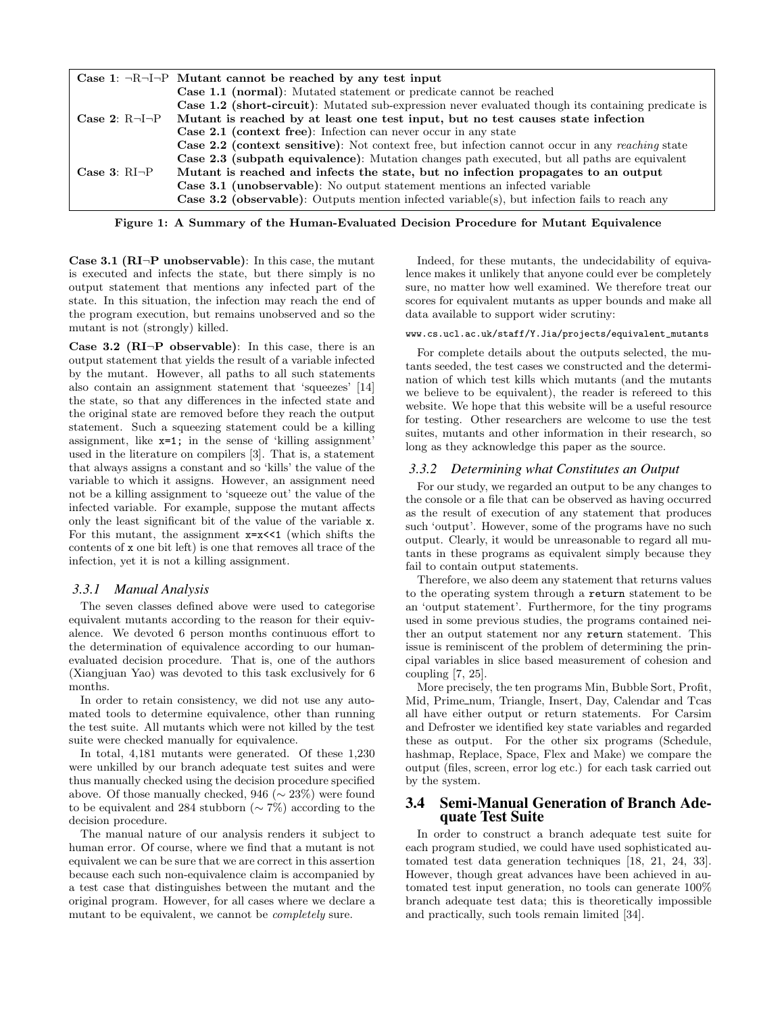|                         | Case 1: $\neg R\neg I\neg P$ Mutant cannot be reached by any test input                             |
|-------------------------|-----------------------------------------------------------------------------------------------------|
|                         | Case 1.1 (normal): Mutated statement or predicate cannot be reached                                 |
|                         | Case 1.2 (short-circuit): Mutated sub-expression never evaluated though its containing predicate is |
| Case 2: $R\neg I\neg P$ | Mutant is reached by at least one test input, but no test causes state infection                    |
|                         | Case 2.1 (context free): Infection can never occur in any state                                     |
|                         | Case 2.2 (context sensitive): Not context free, but infection cannot occur in any reaching state    |
|                         | Case 2.3 (subpath equivalence): Mutation changes path executed, but all paths are equivalent        |
| Case 3: $RI-P$          | Mutant is reached and infects the state, but no infection propagates to an output                   |
|                         | <b>Case 3.1 (unobservable)</b> : No output statement mentions an infected variable                  |
|                         | Case 3.2 (observable): Outputs mention infected variable(s), but infection fails to reach any       |

Figure 1: A Summary of the Human-Evaluated Decision Procedure for Mutant Equivalence

Case 3.1 (RI¬P unobservable): In this case, the mutant is executed and infects the state, but there simply is no output statement that mentions any infected part of the state. In this situation, the infection may reach the end of the program execution, but remains unobserved and so the mutant is not (strongly) killed.

Case 3.2 ( $\text{RI}\text{-}\text{P}$  observable): In this case, there is an output statement that yields the result of a variable infected by the mutant. However, all paths to all such statements also contain an assignment statement that 'squeezes' [14] the state, so that any differences in the infected state and the original state are removed before they reach the output statement. Such a squeezing statement could be a killing assignment, like x=1; in the sense of 'killing assignment' used in the literature on compilers [3]. That is, a statement that always assigns a constant and so 'kills' the value of the variable to which it assigns. However, an assignment need not be a killing assignment to 'squeeze out' the value of the infected variable. For example, suppose the mutant affects only the least significant bit of the value of the variable x. For this mutant, the assignment  $x=x<<1$  (which shifts the contents of x one bit left) is one that removes all trace of the infection, yet it is not a killing assignment.

#### *3.3.1 Manual Analysis*

The seven classes defined above were used to categorise equivalent mutants according to the reason for their equivalence. We devoted 6 person months continuous effort to the determination of equivalence according to our humanevaluated decision procedure. That is, one of the authors (Xiangjuan Yao) was devoted to this task exclusively for 6 months.

In order to retain consistency, we did not use any automated tools to determine equivalence, other than running the test suite. All mutants which were not killed by the test suite were checked manually for equivalence.

In total, 4,181 mutants were generated. Of these 1,230 were unkilled by our branch adequate test suites and were thus manually checked using the decision procedure specified above. Of those manually checked, 946 ( $\sim$  23%) were found to be equivalent and 284 stubborn (∼ 7%) according to the decision procedure.

The manual nature of our analysis renders it subject to human error. Of course, where we find that a mutant is not equivalent we can be sure that we are correct in this assertion because each such non-equivalence claim is accompanied by a test case that distinguishes between the mutant and the original program. However, for all cases where we declare a mutant to be equivalent, we cannot be *completely* sure.

Indeed, for these mutants, the undecidability of equivalence makes it unlikely that anyone could ever be completely sure, no matter how well examined. We therefore treat our scores for equivalent mutants as upper bounds and make all data available to support wider scrutiny:

#### www.cs.ucl.ac.uk/staff/Y.Jia/projects/equivalent\_mutants

For complete details about the outputs selected, the mutants seeded, the test cases we constructed and the determination of which test kills which mutants (and the mutants we believe to be equivalent), the reader is refereed to this website. We hope that this website will be a useful resource for testing. Other researchers are welcome to use the test suites, mutants and other information in their research, so long as they acknowledge this paper as the source.

#### *3.3.2 Determining what Constitutes an Output*

For our study, we regarded an output to be any changes to the console or a file that can be observed as having occurred as the result of execution of any statement that produces such 'output'. However, some of the programs have no such output. Clearly, it would be unreasonable to regard all mutants in these programs as equivalent simply because they fail to contain output statements.

Therefore, we also deem any statement that returns values to the operating system through a return statement to be an 'output statement'. Furthermore, for the tiny programs used in some previous studies, the programs contained neither an output statement nor any return statement. This issue is reminiscent of the problem of determining the principal variables in slice based measurement of cohesion and coupling [7, 25].

More precisely, the ten programs Min, Bubble Sort, Profit, Mid, Prime num, Triangle, Insert, Day, Calendar and Tcas all have either output or return statements. For Carsim and Defroster we identified key state variables and regarded these as output. For the other six programs (Schedule, hashmap, Replace, Space, Flex and Make) we compare the output (files, screen, error log etc.) for each task carried out by the system.

#### 3.4 Semi-Manual Generation of Branch Adequate Test Suite

In order to construct a branch adequate test suite for each program studied, we could have used sophisticated automated test data generation techniques [18, 21, 24, 33]. However, though great advances have been achieved in automated test input generation, no tools can generate 100% branch adequate test data; this is theoretically impossible and practically, such tools remain limited [34].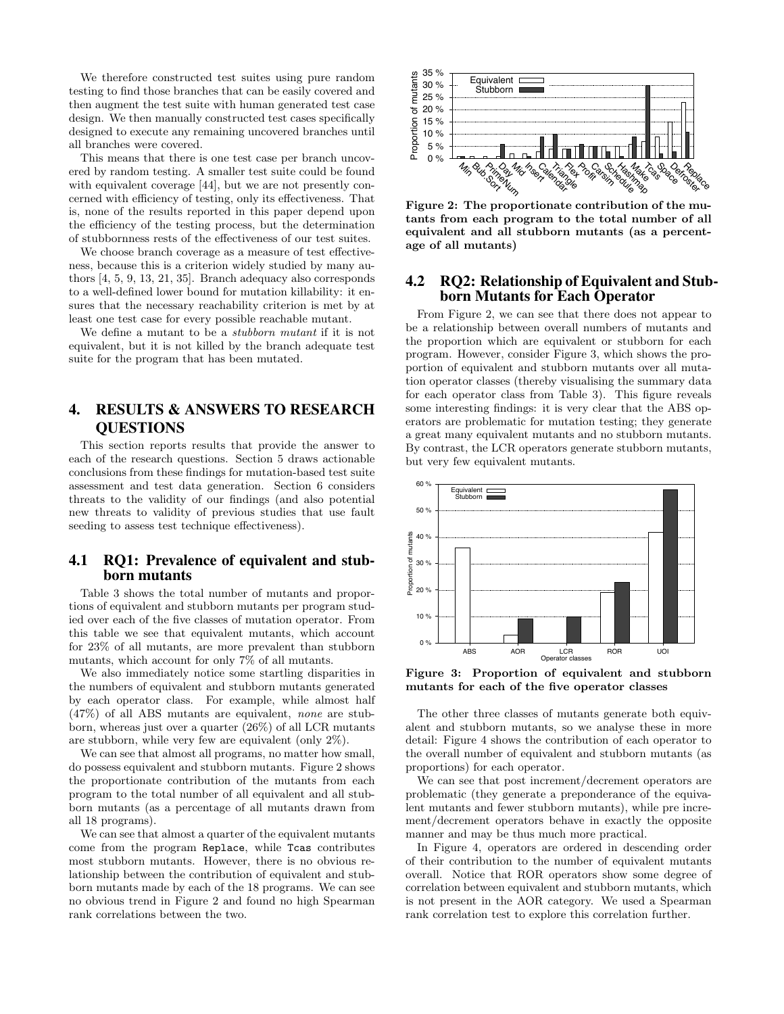We therefore constructed test suites using pure random testing to find those branches that can be easily covered and then augment the test suite with human generated test case design. We then manually constructed test cases specifically designed to execute any remaining uncovered branches until all branches were covered.

This means that there is one test case per branch uncovered by random testing. A smaller test suite could be found with equivalent coverage [44], but we are not presently concerned with efficiency of testing, only its effectiveness. That is, none of the results reported in this paper depend upon the efficiency of the testing process, but the determination of stubbornness rests of the effectiveness of our test suites.

We choose branch coverage as a measure of test effectiveness, because this is a criterion widely studied by many authors [4, 5, 9, 13, 21, 35]. Branch adequacy also corresponds to a well-defined lower bound for mutation killability: it ensures that the necessary reachability criterion is met by at least one test case for every possible reachable mutant.

We define a mutant to be a stubborn mutant if it is not equivalent, but it is not killed by the branch adequate test suite for the program that has been mutated.

# 4. RESULTS & ANSWERS TO RESEARCH QUESTIONS

This section reports results that provide the answer to each of the research questions. Section 5 draws actionable conclusions from these findings for mutation-based test suite assessment and test data generation. Section 6 considers threats to the validity of our findings (and also potential new threats to validity of previous studies that use fault seeding to assess test technique effectiveness).

### 4.1 RQ1: Prevalence of equivalent and stubborn mutants

Table 3 shows the total number of mutants and proportions of equivalent and stubborn mutants per program studied over each of the five classes of mutation operator. From this table we see that equivalent mutants, which account for 23% of all mutants, are more prevalent than stubborn mutants, which account for only 7% of all mutants.

We also immediately notice some startling disparities in the numbers of equivalent and stubborn mutants generated by each operator class. For example, while almost half (47%) of all ABS mutants are equivalent, none are stubborn, whereas just over a quarter (26%) of all LCR mutants are stubborn, while very few are equivalent (only 2%).

We can see that almost all programs, no matter how small, do possess equivalent and stubborn mutants. Figure 2 shows the proportionate contribution of the mutants from each program to the total number of all equivalent and all stubborn mutants (as a percentage of all mutants drawn from all 18 programs).

We can see that almost a quarter of the equivalent mutants come from the program Replace, while Tcas contributes most stubborn mutants. However, there is no obvious relationship between the contribution of equivalent and stubborn mutants made by each of the 18 programs. We can see no obvious trend in Figure 2 and found no high Spearman rank correlations between the two.



Figure 2: The proportionate contribution of the mutants from each program to the total number of all equivalent and all stubborn mutants (as a percentage of all mutants)

# 4.2 RQ2: Relationship of Equivalent and Stubborn Mutants for Each Operator

From Figure 2, we can see that there does not appear to be a relationship between overall numbers of mutants and the proportion which are equivalent or stubborn for each program. However, consider Figure 3, which shows the proportion of equivalent and stubborn mutants over all mutation operator classes (thereby visualising the summary data for each operator class from Table 3). This figure reveals some interesting findings: it is very clear that the ABS operators are problematic for mutation testing; they generate a great many equivalent mutants and no stubborn mutants. By contrast, the LCR operators generate stubborn mutants, but very few equivalent mutants.



Figure 3: Proportion of equivalent and stubborn mutants for each of the five operator classes

The other three classes of mutants generate both equivalent and stubborn mutants, so we analyse these in more detail: Figure 4 shows the contribution of each operator to the overall number of equivalent and stubborn mutants (as proportions) for each operator.

We can see that post increment/decrement operators are problematic (they generate a preponderance of the equivalent mutants and fewer stubborn mutants), while pre increment/decrement operators behave in exactly the opposite manner and may be thus much more practical.

In Figure 4, operators are ordered in descending order of their contribution to the number of equivalent mutants overall. Notice that ROR operators show some degree of correlation between equivalent and stubborn mutants, which is not present in the AOR category. We used a Spearman rank correlation test to explore this correlation further.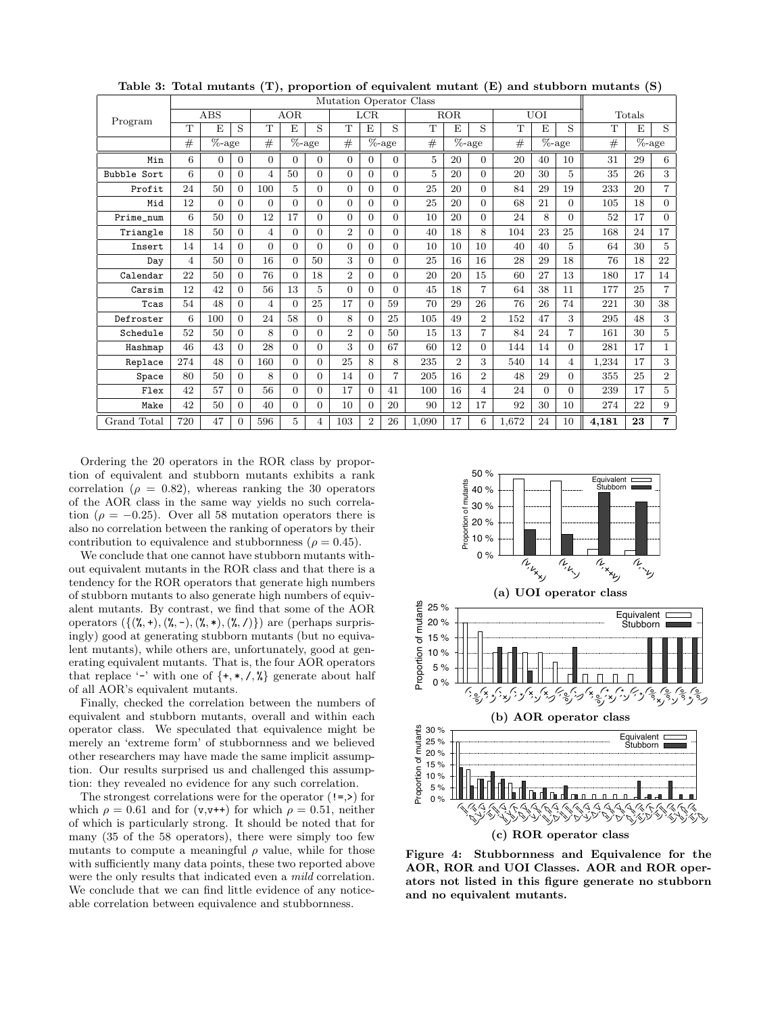|                | Mutation Operator Class |                      |                |                |                      |                |                |                |                      |       |                |                      |       |          |                      |       |                      |                |
|----------------|-------------------------|----------------------|----------------|----------------|----------------------|----------------|----------------|----------------|----------------------|-------|----------------|----------------------|-------|----------|----------------------|-------|----------------------|----------------|
| ABS<br>Program |                         | AOR                  |                |                | LCR                  |                |                | <b>ROR</b>     |                      |       | <b>UOI</b>     |                      |       | Totals   |                      |       |                      |                |
|                | T                       | E                    | S              | T              | E                    | S              | T              | E              | S                    | T     | E              | S                    | T     | E        | S                    | T     | E                    | S              |
|                | #                       | $\overline{\%}$ -age |                | #              | $\overline{\%}$ -age |                | #              |                | $\overline{\%}$ -age | #     |                | $\overline{\%}$ -age | #     |          | $\overline{\%}$ -age | #     | $\overline{\%}$ -age |                |
| Min            | 6                       | $\Omega$             | $\Omega$       | $\overline{0}$ | $\Omega$             | $\Omega$       | $\overline{0}$ | $\Omega$       | $\Omega$             | 5     | 20             | $\Omega$             | 20    | 40       | 10                   | 31    | 29                   | 6              |
| Bubble Sort    | 6                       | $\Omega$             | $\Omega$       | 4              | 50                   | $\Omega$       | $\Omega$       | $\Omega$       | $\Omega$             | 5     | 20             | $\Omega$             | 20    | 30       | 5                    | 35    | 26                   | 3              |
| Profit         | 24                      | 50                   | $\Omega$       | 100            | 5                    | $\Omega$       | $\overline{0}$ | $\Omega$       | $\overline{0}$       | 25    | 20             | $\Omega$             | 84    | 29       | 19                   | 233   | 20                   | $\overline{7}$ |
| Mid            | 12                      | $\Omega$             | $\Omega$       | $\Omega$       | $\Omega$             | $\Omega$       | $\Omega$       | $\Omega$       | $\Omega$             | 25    | 20             | $\Omega$             | 68    | 21       | $\Omega$             | 105   | 18                   | $\theta$       |
| Prime_num      | 6                       | 50                   | $\Omega$       | 12             | 17                   | $\Omega$       | $\Omega$       | $\Omega$       | $\Omega$             | 10    | 20             | $\Omega$             | 24    | 8        | $\Omega$             | 52    | 17                   | $\Omega$       |
| Triangle       | 18                      | 50                   | $\Omega$       | $\overline{4}$ | $\Omega$             | $\Omega$       | $\overline{2}$ | $\Omega$       | $\Omega$             | 40    | 18             | 8                    | 104   | 23       | 25                   | 168   | 24                   | 17             |
| Insert         | 14                      | 14                   | $\Omega$       | $\Omega$       | $\Omega$             | $\Omega$       | $\Omega$       | $\Omega$       | $\Omega$             | 10    | 10             | 10                   | 40    | 40       | 5                    | 64    | 30                   | 5              |
| Day            | 4                       | 50                   | $\Omega$       | 16             | $\Omega$             | 50             | 3              | $\Omega$       | $\overline{0}$       | 25    | 16             | 16                   | 28    | 29       | 18                   | 76    | 18                   | 22             |
| Calendar       | 22                      | 50                   | $\Omega$       | 76             | $\Omega$             | 18             | $\overline{2}$ | $\Omega$       | $\Omega$             | 20    | 20             | 15                   | 60    | 27       | 13                   | 180   | 17                   | 14             |
| Carsim         | 12                      | 42                   | $\Omega$       | 56             | 13                   | 5              | $\Omega$       | $\Omega$       | $\Omega$             | 45    | 18             | 7                    | 64    | 38       | 11                   | 177   | 25                   | $\overline{7}$ |
| Tcas           | 54                      | 48                   | $\Omega$       | 4              | $\Omega$             | 25             | 17             | $\Omega$       | 59                   | 70    | 29             | 26                   | 76    | 26       | 74                   | 221   | 30                   | 38             |
| Defroster      | 6                       | 100                  | $\Omega$       | 24             | 58                   | $\Omega$       | 8              | $\Omega$       | 25                   | 105   | 49             | $\overline{2}$       | 152   | 47       | 3                    | 295   | 48                   | 3              |
| Schedule       | 52                      | 50                   | $\Omega$       | 8              | $\Omega$             | $\Omega$       | $\overline{2}$ | $\Omega$       | 50                   | 15    | 13             | $\overline{7}$       | 84    | 24       | $\overline{7}$       | 161   | 30                   | 5              |
| Hashmap        | 46                      | 43                   | $\Omega$       | 28             | $\Omega$             | $\Omega$       | 3              | $\Omega$       | 67                   | 60    | 12             | $\Omega$             | 144   | 14       | $\Omega$             | 281   | 17                   | $\mathbf{1}$   |
| Replace        | 274                     | 48                   | $\Omega$       | 160            | $\Omega$             | $\Omega$       | 25             | 8              | 8                    | 235   | $\overline{2}$ | 3                    | 540   | 14       | 4                    | 1,234 | 17                   | 3              |
| Space          | 80                      | 50                   | $\Omega$       | 8              | $\Omega$             | $\Omega$       | 14             | $\Omega$       | $\overline{7}$       | 205   | 16             | $\overline{2}$       | 48    | 29       | $\Omega$             | 355   | 25                   | $\overline{2}$ |
| Flex           | 42                      | 57                   | $\overline{0}$ | 56             | $\Omega$             | $\overline{0}$ | 17             | $\Omega$       | 41                   | 100   | 16             | 4                    | 24    | $\Omega$ | 0                    | 239   | 17                   | 5              |
| Make           | 42                      | 50                   | $\Omega$       | 40             | $\Omega$             | $\Omega$       | 10             | $\Omega$       | 20                   | 90    | 12             | 17                   | 92    | 30       | 10                   | 274   | 22                   | 9              |
| Grand Total    | 720                     | 47                   | $\overline{0}$ | 596            | $\overline{5}$       | 4              | 103            | $\overline{2}$ | 26                   | 1,090 | 17             | 6                    | 1,672 | 24       | 10                   | 4,181 | 23                   | 7              |

Table 3: Total mutants  $(T)$ , proportion of equivalent mutant  $(E)$  and stubborn mutants  $(S)$ 

Ordering the 20 operators in the ROR class by proportion of equivalent and stubborn mutants exhibits a rank correlation ( $\rho = 0.82$ ), whereas ranking the 30 operators of the AOR class in the same way yields no such correlation ( $\rho = -0.25$ ). Over all 58 mutation operators there is also no correlation between the ranking of operators by their contribution to equivalence and stubbornness ( $\rho = 0.45$ ).

We conclude that one cannot have stubborn mutants without equivalent mutants in the ROR class and that there is a tendency for the ROR operators that generate high numbers of stubborn mutants to also generate high numbers of equivalent mutants. By contrast, we find that some of the AOR operators  $({(}(\mathbf{X},\mathbf{t}),(\mathbf{X},\mathbf{-}),(\mathbf{X},\mathbf{t}),(\mathbf{X},\mathbf{Z}))$  are (perhaps surprisingly) good at generating stubborn mutants (but no equivalent mutants), while others are, unfortunately, good at generating equivalent mutants. That is, the four AOR operators that replace '-' with one of  $\{+, *, /, \%\}$  generate about half of all AOR's equivalent mutants.

Finally, checked the correlation between the numbers of equivalent and stubborn mutants, overall and within each operator class. We speculated that equivalence might be merely an 'extreme form' of stubbornness and we believed other researchers may have made the same implicit assumption. Our results surprised us and challenged this assumption: they revealed no evidence for any such correlation.

The strongest correlations were for the operator (!=,>) for which  $\rho = 0.61$  and for  $(v, v++)$  for which  $\rho = 0.51$ , neither of which is particularly strong. It should be noted that for many (35 of the 58 operators), there were simply too few mutants to compute a meaningful  $\rho$  value, while for those with sufficiently many data points, these two reported above were the only results that indicated even a *mild* correlation. We conclude that we can find little evidence of any noticeable correlation between equivalence and stubbornness.



Figure 4: Stubbornness and Equivalence for the AOR, ROR and UOI Classes. AOR and ROR operators not listed in this figure generate no stubborn and no equivalent mutants.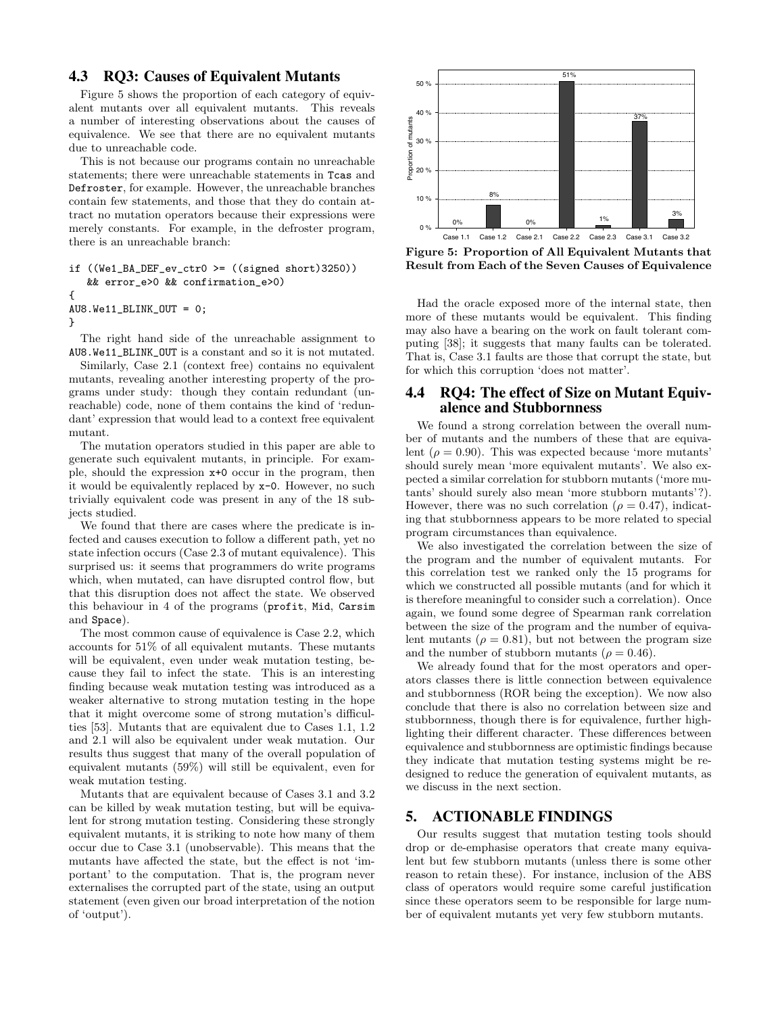# 4.3 RQ3: Causes of Equivalent Mutants

Figure 5 shows the proportion of each category of equivalent mutants over all equivalent mutants. This reveals a number of interesting observations about the causes of equivalence. We see that there are no equivalent mutants due to unreachable code.

This is not because our programs contain no unreachable statements; there were unreachable statements in Tcas and Defroster, for example. However, the unreachable branches contain few statements, and those that they do contain attract no mutation operators because their expressions were merely constants. For example, in the defroster program, there is an unreachable branch:

```
if ((We1_BA_DEF\_ev\_ctr0 > = ((signed short)3250))&& error_e>0 && confirmation_e>0)
{
AU8.We11_BLINK_OUT = 0;
}
```
The right hand side of the unreachable assignment to AU8.We11\_BLINK\_OUT is a constant and so it is not mutated.

Similarly, Case 2.1 (context free) contains no equivalent mutants, revealing another interesting property of the programs under study: though they contain redundant (unreachable) code, none of them contains the kind of 'redundant' expression that would lead to a context free equivalent mutant.

The mutation operators studied in this paper are able to generate such equivalent mutants, in principle. For example, should the expression x+0 occur in the program, then it would be equivalently replaced by x-0. However, no such trivially equivalent code was present in any of the 18 subjects studied.

We found that there are cases where the predicate is infected and causes execution to follow a different path, yet no state infection occurs (Case 2.3 of mutant equivalence). This surprised us: it seems that programmers do write programs which, when mutated, can have disrupted control flow, but that this disruption does not affect the state. We observed this behaviour in 4 of the programs (profit, Mid, Carsim and Space).

The most common cause of equivalence is Case 2.2, which accounts for 51% of all equivalent mutants. These mutants will be equivalent, even under weak mutation testing, because they fail to infect the state. This is an interesting finding because weak mutation testing was introduced as a weaker alternative to strong mutation testing in the hope that it might overcome some of strong mutation's difficulties [53]. Mutants that are equivalent due to Cases 1.1, 1.2 and 2.1 will also be equivalent under weak mutation. Our results thus suggest that many of the overall population of equivalent mutants (59%) will still be equivalent, even for weak mutation testing.

Mutants that are equivalent because of Cases 3.1 and 3.2 can be killed by weak mutation testing, but will be equivalent for strong mutation testing. Considering these strongly equivalent mutants, it is striking to note how many of them occur due to Case 3.1 (unobservable). This means that the mutants have affected the state, but the effect is not 'important' to the computation. That is, the program never externalises the corrupted part of the state, using an output statement (even given our broad interpretation of the notion of 'output').



Figure 5: Proportion of All Equivalent Mutants that Result from Each of the Seven Causes of Equivalence

Had the oracle exposed more of the internal state, then more of these mutants would be equivalent. This finding may also have a bearing on the work on fault tolerant computing [38]; it suggests that many faults can be tolerated. That is, Case 3.1 faults are those that corrupt the state, but for which this corruption 'does not matter'.

# 4.4 RQ4: The effect of Size on Mutant Equivalence and Stubbornness

We found a strong correlation between the overall number of mutants and the numbers of these that are equivalent ( $\rho = 0.90$ ). This was expected because 'more mutants' should surely mean 'more equivalent mutants'. We also expected a similar correlation for stubborn mutants ('more mutants' should surely also mean 'more stubborn mutants'?). However, there was no such correlation ( $\rho = 0.47$ ), indicating that stubbornness appears to be more related to special program circumstances than equivalence.

We also investigated the correlation between the size of the program and the number of equivalent mutants. For this correlation test we ranked only the 15 programs for which we constructed all possible mutants (and for which it is therefore meaningful to consider such a correlation). Once again, we found some degree of Spearman rank correlation between the size of the program and the number of equivalent mutants ( $\rho = 0.81$ ), but not between the program size and the number of stubborn mutants ( $\rho = 0.46$ ).

We already found that for the most operators and operators classes there is little connection between equivalence and stubbornness (ROR being the exception). We now also conclude that there is also no correlation between size and stubbornness, though there is for equivalence, further highlighting their different character. These differences between equivalence and stubbornness are optimistic findings because they indicate that mutation testing systems might be redesigned to reduce the generation of equivalent mutants, as we discuss in the next section.

# 5. ACTIONABLE FINDINGS

Our results suggest that mutation testing tools should drop or de-emphasise operators that create many equivalent but few stubborn mutants (unless there is some other reason to retain these). For instance, inclusion of the ABS class of operators would require some careful justification since these operators seem to be responsible for large number of equivalent mutants yet very few stubborn mutants.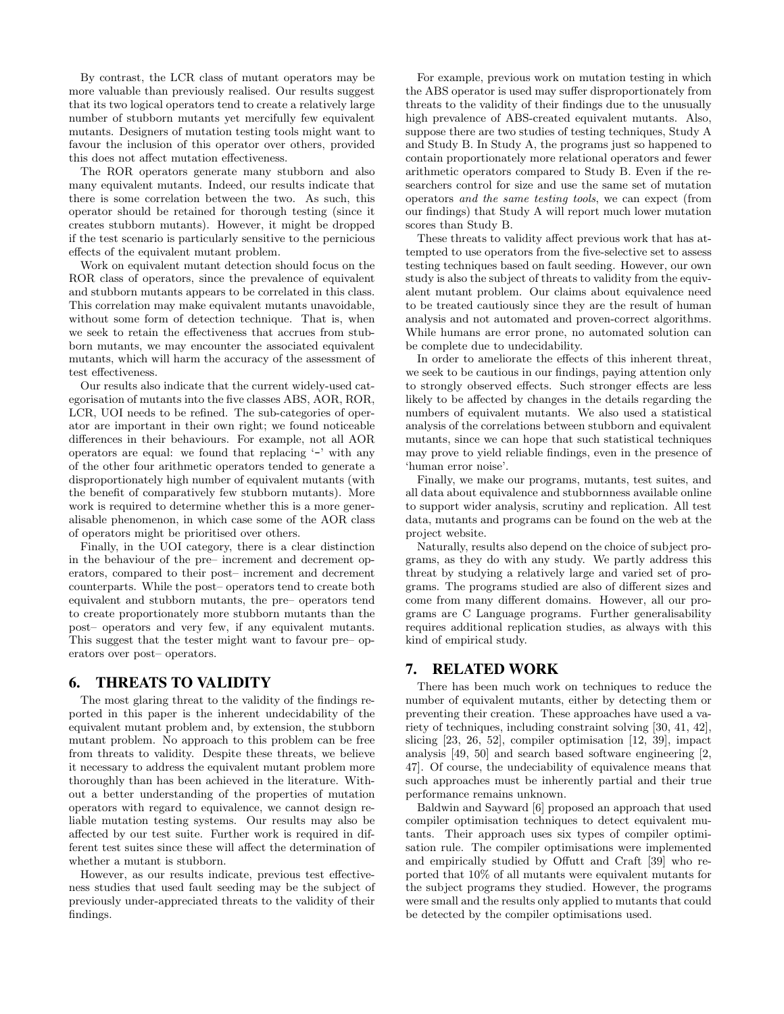By contrast, the LCR class of mutant operators may be more valuable than previously realised. Our results suggest that its two logical operators tend to create a relatively large number of stubborn mutants yet mercifully few equivalent mutants. Designers of mutation testing tools might want to favour the inclusion of this operator over others, provided this does not affect mutation effectiveness.

The ROR operators generate many stubborn and also many equivalent mutants. Indeed, our results indicate that there is some correlation between the two. As such, this operator should be retained for thorough testing (since it creates stubborn mutants). However, it might be dropped if the test scenario is particularly sensitive to the pernicious effects of the equivalent mutant problem.

Work on equivalent mutant detection should focus on the ROR class of operators, since the prevalence of equivalent and stubborn mutants appears to be correlated in this class. This correlation may make equivalent mutants unavoidable, without some form of detection technique. That is, when we seek to retain the effectiveness that accrues from stubborn mutants, we may encounter the associated equivalent mutants, which will harm the accuracy of the assessment of test effectiveness.

Our results also indicate that the current widely-used categorisation of mutants into the five classes ABS, AOR, ROR, LCR, UOI needs to be refined. The sub-categories of operator are important in their own right; we found noticeable differences in their behaviours. For example, not all AOR operators are equal: we found that replacing '-' with any of the other four arithmetic operators tended to generate a disproportionately high number of equivalent mutants (with the benefit of comparatively few stubborn mutants). More work is required to determine whether this is a more generalisable phenomenon, in which case some of the AOR class of operators might be prioritised over others.

Finally, in the UOI category, there is a clear distinction in the behaviour of the pre– increment and decrement operators, compared to their post– increment and decrement counterparts. While the post– operators tend to create both equivalent and stubborn mutants, the pre– operators tend to create proportionately more stubborn mutants than the post– operators and very few, if any equivalent mutants. This suggest that the tester might want to favour pre– operators over post– operators.

# 6. THREATS TO VALIDITY

The most glaring threat to the validity of the findings reported in this paper is the inherent undecidability of the equivalent mutant problem and, by extension, the stubborn mutant problem. No approach to this problem can be free from threats to validity. Despite these threats, we believe it necessary to address the equivalent mutant problem more thoroughly than has been achieved in the literature. Without a better understanding of the properties of mutation operators with regard to equivalence, we cannot design reliable mutation testing systems. Our results may also be affected by our test suite. Further work is required in different test suites since these will affect the determination of whether a mutant is stubborn.

However, as our results indicate, previous test effectiveness studies that used fault seeding may be the subject of previously under-appreciated threats to the validity of their findings.

For example, previous work on mutation testing in which the ABS operator is used may suffer disproportionately from threats to the validity of their findings due to the unusually high prevalence of ABS-created equivalent mutants. Also, suppose there are two studies of testing techniques, Study A and Study B. In Study A, the programs just so happened to contain proportionately more relational operators and fewer arithmetic operators compared to Study B. Even if the researchers control for size and use the same set of mutation operators and the same testing tools, we can expect (from our findings) that Study A will report much lower mutation scores than Study B.

These threats to validity affect previous work that has attempted to use operators from the five-selective set to assess testing techniques based on fault seeding. However, our own study is also the subject of threats to validity from the equivalent mutant problem. Our claims about equivalence need to be treated cautiously since they are the result of human analysis and not automated and proven-correct algorithms. While humans are error prone, no automated solution can be complete due to undecidability.

In order to ameliorate the effects of this inherent threat, we seek to be cautious in our findings, paying attention only to strongly observed effects. Such stronger effects are less likely to be affected by changes in the details regarding the numbers of equivalent mutants. We also used a statistical analysis of the correlations between stubborn and equivalent mutants, since we can hope that such statistical techniques may prove to yield reliable findings, even in the presence of 'human error noise'.

Finally, we make our programs, mutants, test suites, and all data about equivalence and stubbornness available online to support wider analysis, scrutiny and replication. All test data, mutants and programs can be found on the web at the project website.

Naturally, results also depend on the choice of subject programs, as they do with any study. We partly address this threat by studying a relatively large and varied set of programs. The programs studied are also of different sizes and come from many different domains. However, all our programs are C Language programs. Further generalisability requires additional replication studies, as always with this kind of empirical study.

# 7. RELATED WORK

There has been much work on techniques to reduce the number of equivalent mutants, either by detecting them or preventing their creation. These approaches have used a variety of techniques, including constraint solving [30, 41, 42], slicing [23, 26, 52], compiler optimisation [12, 39], impact analysis [49, 50] and search based software engineering [2, 47]. Of course, the undeciability of equivalence means that such approaches must be inherently partial and their true performance remains unknown.

Baldwin and Sayward [6] proposed an approach that used compiler optimisation techniques to detect equivalent mutants. Their approach uses six types of compiler optimisation rule. The compiler optimisations were implemented and empirically studied by Offutt and Craft [39] who reported that 10% of all mutants were equivalent mutants for the subject programs they studied. However, the programs were small and the results only applied to mutants that could be detected by the compiler optimisations used.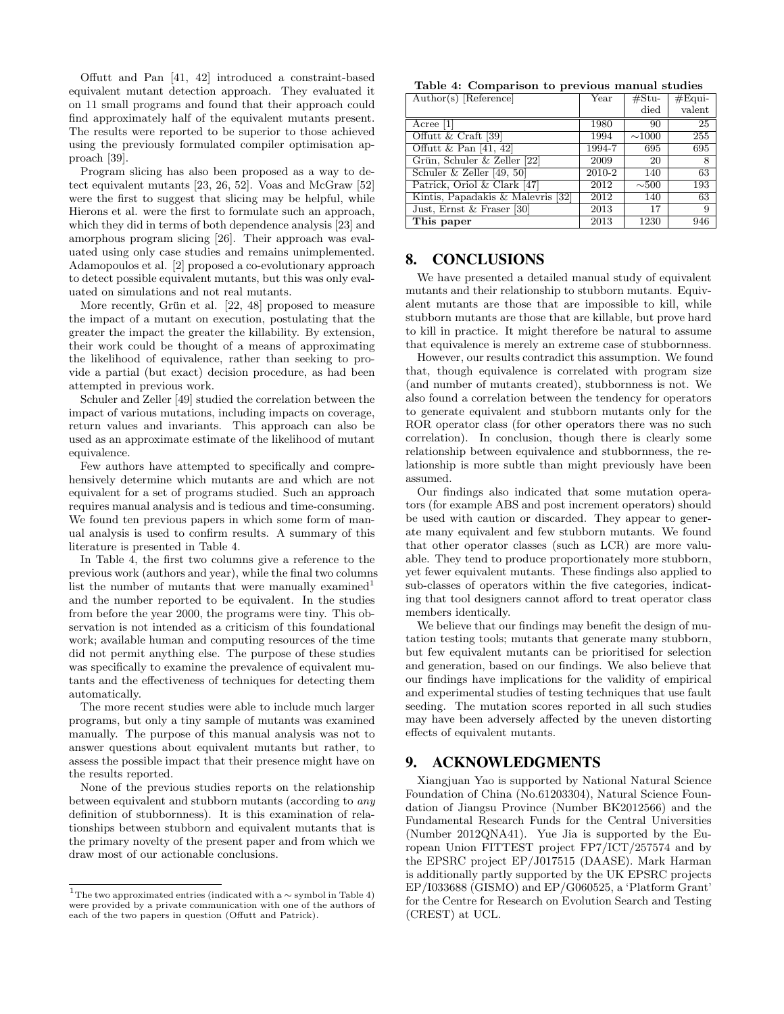Offutt and Pan [41, 42] introduced a constraint-based equivalent mutant detection approach. They evaluated it on 11 small programs and found that their approach could find approximately half of the equivalent mutants present. The results were reported to be superior to those achieved using the previously formulated compiler optimisation approach [39].

Program slicing has also been proposed as a way to detect equivalent mutants [23, 26, 52]. Voas and McGraw [52] were the first to suggest that slicing may be helpful, while Hierons et al. were the first to formulate such an approach, which they did in terms of both dependence analysis [23] and amorphous program slicing [26]. Their approach was evaluated using only case studies and remains unimplemented. Adamopoulos et al. [2] proposed a co-evolutionary approach to detect possible equivalent mutants, but this was only evaluated on simulations and not real mutants.

More recently, Grün et al.  $[22, 48]$  proposed to measure the impact of a mutant on execution, postulating that the greater the impact the greater the killability. By extension, their work could be thought of a means of approximating the likelihood of equivalence, rather than seeking to provide a partial (but exact) decision procedure, as had been attempted in previous work.

Schuler and Zeller [49] studied the correlation between the impact of various mutations, including impacts on coverage, return values and invariants. This approach can also be used as an approximate estimate of the likelihood of mutant equivalence.

Few authors have attempted to specifically and comprehensively determine which mutants are and which are not equivalent for a set of programs studied. Such an approach requires manual analysis and is tedious and time-consuming. We found ten previous papers in which some form of manual analysis is used to confirm results. A summary of this literature is presented in Table 4.

In Table 4, the first two columns give a reference to the previous work (authors and year), while the final two columns list the number of mutants that were manually examined<sup>1</sup> and the number reported to be equivalent. In the studies from before the year 2000, the programs were tiny. This observation is not intended as a criticism of this foundational work; available human and computing resources of the time did not permit anything else. The purpose of these studies was specifically to examine the prevalence of equivalent mutants and the effectiveness of techniques for detecting them automatically.

The more recent studies were able to include much larger programs, but only a tiny sample of mutants was examined manually. The purpose of this manual analysis was not to answer questions about equivalent mutants but rather, to assess the possible impact that their presence might have on the results reported.

None of the previous studies reports on the relationship between equivalent and stubborn mutants (according to any definition of stubbornness). It is this examination of relationships between stubborn and equivalent mutants that is the primary novelty of the present paper and from which we draw most of our actionable conclusions.

Table 4: Comparison to previous manual studies

| $\text{Author}(s)$ [Reference]    | Year   | $#$ Stu-    | $#$ Equi- |
|-----------------------------------|--------|-------------|-----------|
|                                   |        | died        | valent    |
| Acree [1]                         | 1980   | 90          | 25        |
| Offutt $&$ Craft [39]             | 1994   | $\sim$ 1000 | 255       |
| Offutt & Pan $[41, 42]$           | 1994-7 | 695         | 695       |
| Grün, Schuler & Zeller [22]       | 2009   | 20          | 8         |
| Schuler & Zeller [49, 50]         | 2010-2 | 140         | 63        |
| Patrick, Oriol & Clark [47]       | 2012   | $\sim$ 500  | 193       |
| Kintis, Papadakis & Malevris [32] | 2012   | 140         | 63        |
| Just, Ernst $\&$ Fraser [30]      | 2013   | 17          | 9         |
| This paper                        | 2013   | 1230        | 946       |

### 8. CONCLUSIONS

We have presented a detailed manual study of equivalent mutants and their relationship to stubborn mutants. Equivalent mutants are those that are impossible to kill, while stubborn mutants are those that are killable, but prove hard to kill in practice. It might therefore be natural to assume that equivalence is merely an extreme case of stubbornness.

However, our results contradict this assumption. We found that, though equivalence is correlated with program size (and number of mutants created), stubbornness is not. We also found a correlation between the tendency for operators to generate equivalent and stubborn mutants only for the ROR operator class (for other operators there was no such correlation). In conclusion, though there is clearly some relationship between equivalence and stubbornness, the relationship is more subtle than might previously have been assumed.

Our findings also indicated that some mutation operators (for example ABS and post increment operators) should be used with caution or discarded. They appear to generate many equivalent and few stubborn mutants. We found that other operator classes (such as LCR) are more valuable. They tend to produce proportionately more stubborn, yet fewer equivalent mutants. These findings also applied to sub-classes of operators within the five categories, indicating that tool designers cannot afford to treat operator class members identically.

We believe that our findings may benefit the design of mutation testing tools; mutants that generate many stubborn, but few equivalent mutants can be prioritised for selection and generation, based on our findings. We also believe that our findings have implications for the validity of empirical and experimental studies of testing techniques that use fault seeding. The mutation scores reported in all such studies may have been adversely affected by the uneven distorting effects of equivalent mutants.

#### 9. ACKNOWLEDGMENTS

Xiangjuan Yao is supported by National Natural Science Foundation of China (No.61203304), Natural Science Foundation of Jiangsu Province (Number BK2012566) and the Fundamental Research Funds for the Central Universities (Number 2012QNA41). Yue Jia is supported by the European Union FITTEST project FP7/ICT/257574 and by the EPSRC project EP/J017515 (DAASE). Mark Harman is additionally partly supported by the UK EPSRC projects EP/I033688 (GISMO) and EP/G060525, a 'Platform Grant' for the Centre for Research on Evolution Search and Testing (CREST) at UCL.

 $^1\text{The two approximated entries (indicated with a \sim symbol in Table 4)}$ were provided by a private communication with one of the authors of each of the two papers in question (Offutt and Patrick).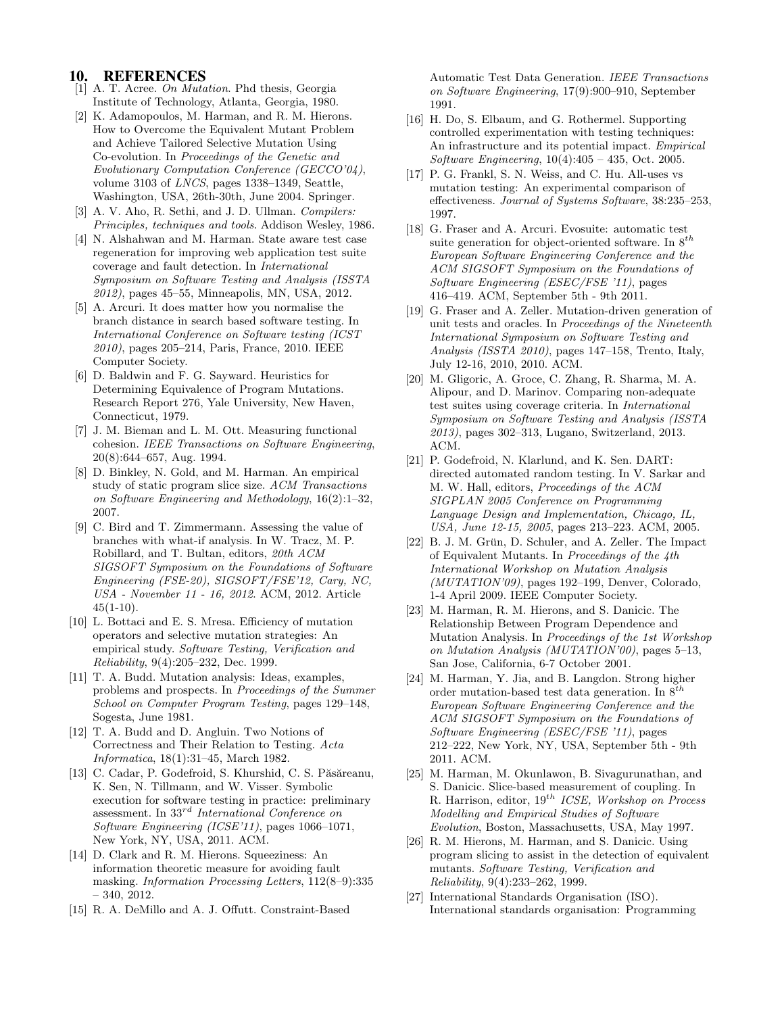# 10. REFERENCES

- [1] A. T. Acree. On Mutation. Phd thesis, Georgia Institute of Technology, Atlanta, Georgia, 1980.
- [2] K. Adamopoulos, M. Harman, and R. M. Hierons. How to Overcome the Equivalent Mutant Problem and Achieve Tailored Selective Mutation Using Co-evolution. In Proceedings of the Genetic and Evolutionary Computation Conference (GECCO'04), volume 3103 of LNCS, pages 1338–1349, Seattle, Washington, USA, 26th-30th, June 2004. Springer.
- [3] A. V. Aho, R. Sethi, and J. D. Ullman. Compilers: Principles, techniques and tools. Addison Wesley, 1986.
- [4] N. Alshahwan and M. Harman. State aware test case regeneration for improving web application test suite coverage and fault detection. In International Symposium on Software Testing and Analysis (ISSTA 2012), pages 45–55, Minneapolis, MN, USA, 2012.
- [5] A. Arcuri. It does matter how you normalise the branch distance in search based software testing. In International Conference on Software testing (ICST 2010), pages 205–214, Paris, France, 2010. IEEE Computer Society.
- [6] D. Baldwin and F. G. Sayward. Heuristics for Determining Equivalence of Program Mutations. Research Report 276, Yale University, New Haven, Connecticut, 1979.
- [7] J. M. Bieman and L. M. Ott. Measuring functional cohesion. IEEE Transactions on Software Engineering, 20(8):644–657, Aug. 1994.
- [8] D. Binkley, N. Gold, and M. Harman. An empirical study of static program slice size. ACM Transactions on Software Engineering and Methodology, 16(2):1–32, 2007.
- [9] C. Bird and T. Zimmermann. Assessing the value of branches with what-if analysis. In W. Tracz, M. P. Robillard, and T. Bultan, editors, 20th ACM SIGSOFT Symposium on the Foundations of Software Engineering (FSE-20), SIGSOFT/FSE'12, Cary, NC, USA - November 11 - 16, 2012. ACM, 2012. Article  $45(1-10)$ .
- [10] L. Bottaci and E. S. Mresa. Efficiency of mutation operators and selective mutation strategies: An empirical study. Software Testing, Verification and Reliability, 9(4):205–232, Dec. 1999.
- [11] T. A. Budd. Mutation analysis: Ideas, examples, problems and prospects. In Proceedings of the Summer School on Computer Program Testing, pages 129–148, Sogesta, June 1981.
- [12] T. A. Budd and D. Angluin. Two Notions of Correctness and Their Relation to Testing. Acta Informatica, 18(1):31–45, March 1982.
- [13] C. Cadar, P. Godefroid, S. Khurshid, C. S. Păsăreanu, K. Sen, N. Tillmann, and W. Visser. Symbolic execution for software testing in practice: preliminary assessment. In 33rd International Conference on Software Engineering (ICSE'11), pages 1066–1071, New York, NY, USA, 2011. ACM.
- [14] D. Clark and R. M. Hierons. Squeeziness: An information theoretic measure for avoiding fault masking. Information Processing Letters, 112(8–9):335 – 340, 2012.
- [15] R. A. DeMillo and A. J. Offutt. Constraint-Based

Automatic Test Data Generation. IEEE Transactions on Software Engineering, 17(9):900–910, September 1991.

- [16] H. Do, S. Elbaum, and G. Rothermel. Supporting controlled experimentation with testing techniques: An infrastructure and its potential impact. Empirical Software Engineering, 10(4):405 – 435, Oct. 2005.
- [17] P. G. Frankl, S. N. Weiss, and C. Hu. All-uses vs mutation testing: An experimental comparison of effectiveness. Journal of Systems Software, 38:235–253, 1997.
- [18] G. Fraser and A. Arcuri. Evosuite: automatic test suite generation for object-oriented software. In  $8^{th}$ European Software Engineering Conference and the ACM SIGSOFT Symposium on the Foundations of Software Engineering (ESEC/FSE '11), pages 416–419. ACM, September 5th - 9th 2011.
- [19] G. Fraser and A. Zeller. Mutation-driven generation of unit tests and oracles. In Proceedings of the Nineteenth International Symposium on Software Testing and Analysis (ISSTA 2010), pages 147–158, Trento, Italy, July 12-16, 2010, 2010. ACM.
- [20] M. Gligoric, A. Groce, C. Zhang, R. Sharma, M. A. Alipour, and D. Marinov. Comparing non-adequate test suites using coverage criteria. In International Symposium on Software Testing and Analysis (ISSTA 2013), pages 302–313, Lugano, Switzerland, 2013. ACM.
- [21] P. Godefroid, N. Klarlund, and K. Sen. DART: directed automated random testing. In V. Sarkar and M. W. Hall, editors, Proceedings of the ACM SIGPLAN 2005 Conference on Programming Language Design and Implementation, Chicago, IL, USA, June 12-15, 2005, pages 213–223. ACM, 2005.
- [22] B. J. M. Grün, D. Schuler, and A. Zeller. The Impact of Equivalent Mutants. In Proceedings of the 4th International Workshop on Mutation Analysis  $(MUTATION'09)$ , pages 192–199, Denver, Colorado, 1-4 April 2009. IEEE Computer Society.
- [23] M. Harman, R. M. Hierons, and S. Danicic. The Relationship Between Program Dependence and Mutation Analysis. In Proceedings of the 1st Workshop on Mutation Analysis (MUTATION'00), pages 5–13, San Jose, California, 6-7 October 2001.
- [24] M. Harman, Y. Jia, and B. Langdon. Strong higher order mutation-based test data generation. In  $8^{th}$ European Software Engineering Conference and the ACM SIGSOFT Symposium on the Foundations of Software Engineering (ESEC/FSE '11), pages 212–222, New York, NY, USA, September 5th - 9th 2011. ACM.
- [25] M. Harman, M. Okunlawon, B. Sivagurunathan, and S. Danicic. Slice-based measurement of coupling. In R. Harrison, editor, 19<sup>th</sup> ICSE, Workshop on Process Modelling and Empirical Studies of Software Evolution, Boston, Massachusetts, USA, May 1997.
- [26] R. M. Hierons, M. Harman, and S. Danicic. Using program slicing to assist in the detection of equivalent mutants. Software Testing, Verification and Reliability, 9(4):233–262, 1999.
- [27] International Standards Organisation (ISO). International standards organisation: Programming